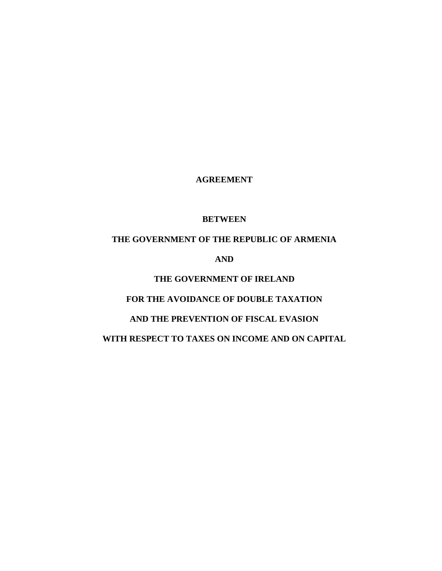**AGREEMENT**

## **BETWEEN**

# **THE GOVERNMENT OF THE REPUBLIC OF ARMENIA**

**AND** 

# **THE GOVERNMENT OF IRELAND**

# **FOR THE AVOIDANCE OF DOUBLE TAXATION**

# **AND THE PREVENTION OF FISCAL EVASION**

# **WITH RESPECT TO TAXES ON INCOME AND ON CAPITAL**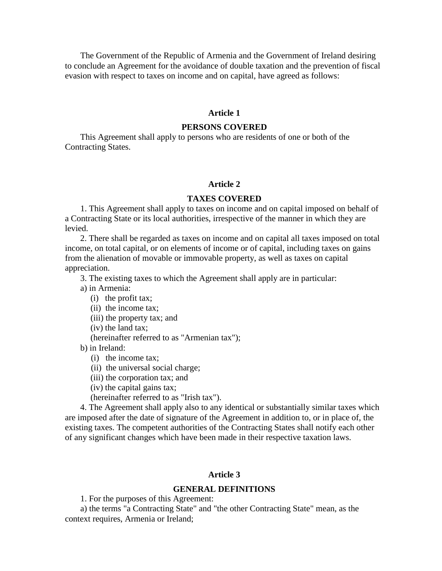The Government of the Republic of Armenia and the Government of Ireland desiring to conclude an Agreement for the avoidance of double taxation and the prevention of fiscal evasion with respect to taxes on income and on capital, have agreed as follows:

#### **Article 1**

#### **PERSONS COVERED**

This Agreement shall apply to persons who are residents of one or both of the Contracting States.

#### **Article 2**

#### **TAXES COVERED**

1. This Agreement shall apply to taxes on income and on capital imposed on behalf of a Contracting State or its local authorities, irrespective of the manner in which they are levied.

2. There shall be regarded as taxes on income and on capital all taxes imposed on total income, on total capital, or on elements of income or of capital, including taxes on gains from the alienation of movable or immovable property, as well as taxes on capital appreciation.

3. The existing taxes to which the Agreement shall apply are in particular:

a) in Armenia:

- (i) the profit tax;
- (ii) the income tax;
- (iii) the property tax; and
- (iv) the land tax;

(hereinafter referred to as "Armenian tax");

- b) in Ireland:
	- (i) the income tax;
	- (ii) the universal social charge;
	- (iii) the corporation tax; and
	- (iv) the capital gains tax;

(hereinafter referred to as "Irish tax").

4. The Agreement shall apply also to any identical or substantially similar taxes which are imposed after the date of signature of the Agreement in addition to, or in place of, the existing taxes. The competent authorities of the Contracting States shall notify each other of any significant changes which have been made in their respective taxation laws.

#### **Article 3**

#### **GENERAL DEFINITIONS**

1. For the purposes of this Agreement:

a) the terms "a Contracting State" and "the other Contracting State" mean, as the context requires, Armenia or Ireland;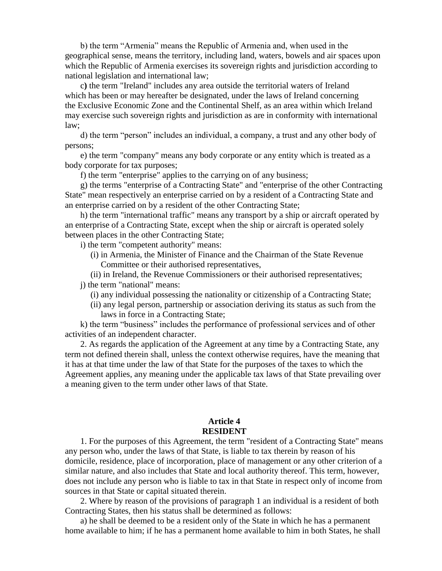b) the term "Armenia" means the Republic of Armenia and, when used in the geographical sense, means the territory, including land, waters, bowels and air spaces upon which the Republic of Armenia exercises its sovereign rights and jurisdiction according to national legislation and international law;

c**)** the term "Ireland" includes any area outside the territorial waters of Ireland which has been or may hereafter be designated, under the laws of Ireland concerning the Exclusive Economic Zone and the Continental Shelf, as an area within which Ireland may exercise such sovereign rights and jurisdiction as are in conformity with international law;

d) the term "person" includes an individual, a company, a trust and any other body of persons;

e) the term "company" means any body corporate or any entity which is treated as a body corporate for tax purposes;

f) the term "enterprise" applies to the carrying on of any business;

g) the terms "enterprise of a Contracting State" and "enterprise of the other Contracting State" mean respectively an enterprise carried on by a resident of a Contracting State and an enterprise carried on by a resident of the other Contracting State;

h) the term "international traffic" means any transport by a ship or aircraft operated by an enterprise of a Contracting State, except when the ship or aircraft is operated solely between places in the other Contracting State;

i) the term "competent authority" means:

- (i) in Armenia, the Minister of Finance and the Chairman of the State Revenue Committee or their authorised representatives,
- (ii) in Ireland, the Revenue Commissioners or their authorised representatives;

j) the term "national" means:

(i) any individual possessing the nationality or citizenship of a Contracting State;

(ii) any legal person, partnership or association deriving its status as such from the laws in force in a Contracting State;

k) the term "business" includes the performance of professional services and of other activities of an independent character.

2. As regards the application of the Agreement at any time by a Contracting State, any term not defined therein shall, unless the context otherwise requires, have the meaning that it has at that time under the law of that State for the purposes of the taxes to which the Agreement applies, any meaning under the applicable tax laws of that State prevailing over a meaning given to the term under other laws of that State.

#### **Article 4 RESIDENT**

1. For the purposes of this Agreement, the term "resident of a Contracting State" means any person who, under the laws of that State, is liable to tax therein by reason of his domicile, residence, place of incorporation, place of management or any other criterion of a similar nature, and also includes that State and local authority thereof. This term, however, does not include any person who is liable to tax in that State in respect only of income from sources in that State or capital situated therein.

2. Where by reason of the provisions of paragraph 1 an individual is a resident of both Contracting States, then his status shall be determined as follows:

a) he shall be deemed to be a resident only of the State in which he has a permanent home available to him; if he has a permanent home available to him in both States, he shall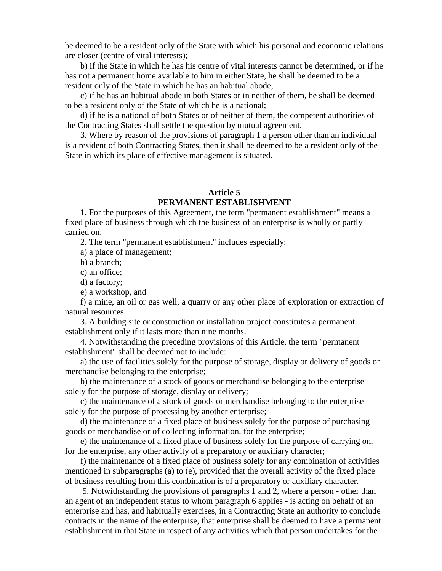be deemed to be a resident only of the State with which his personal and economic relations are closer (centre of vital interests);

b) if the State in which he has his centre of vital interests cannot be determined, or if he has not a permanent home available to him in either State, he shall be deemed to be a resident only of the State in which he has an habitual abode;

c) if he has an habitual abode in both States or in neither of them, he shall be deemed to be a resident only of the State of which he is a national;

d) if he is a national of both States or of neither of them, the competent authorities of the Contracting States shall settle the question by mutual agreement.

3. Where by reason of the provisions of paragraph 1 a person other than an individual is a resident of both Contracting States, then it shall be deemed to be a resident only of the State in which its place of effective management is situated.

# **Article 5 PERMANENT ESTABLISHMENT**

1. For the purposes of this Agreement, the term "permanent establishment" means a fixed place of business through which the business of an enterprise is wholly or partly carried on.

2. The term "permanent establishment" includes especially:

a) a place of management;

b) a branch;

c) an office;

d) a factory;

e) a workshop, and

f) a mine, an oil or gas well, a quarry or any other place of exploration or extraction of natural resources.

3. A building site or construction or installation project constitutes a permanent establishment only if it lasts more than nine months.

4. Notwithstanding the preceding provisions of this Article, the term "permanent establishment" shall be deemed not to include:

a) the use of facilities solely for the purpose of storage, display or delivery of goods or merchandise belonging to the enterprise;

b) the maintenance of a stock of goods or merchandise belonging to the enterprise solely for the purpose of storage, display or delivery;

c) the maintenance of a stock of goods or merchandise belonging to the enterprise solely for the purpose of processing by another enterprise;

d) the maintenance of a fixed place of business solely for the purpose of purchasing goods or merchandise or of collecting information, for the enterprise;

e) the maintenance of a fixed place of business solely for the purpose of carrying on, for the enterprise, any other activity of a preparatory or auxiliary character;

f) the maintenance of a fixed place of business solely for any combination of activities mentioned in subparagraphs (a) to (e), provided that the overall activity of the fixed place of business resulting from this combination is of a preparatory or auxiliary character.

5. Notwithstanding the provisions of paragraphs 1 and 2, where a person - other than an agent of an independent status to whom paragraph 6 applies - is acting on behalf of an enterprise and has, and habitually exercises, in a Contracting State an authority to conclude contracts in the name of the enterprise, that enterprise shall be deemed to have a permanent establishment in that State in respect of any activities which that person undertakes for the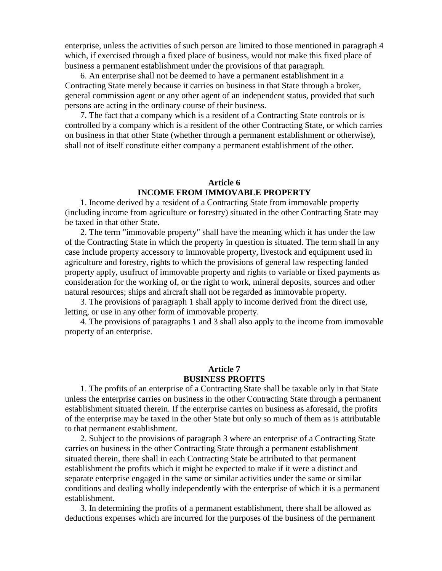enterprise, unless the activities of such person are limited to those mentioned in paragraph 4 which, if exercised through a fixed place of business, would not make this fixed place of business a permanent establishment under the provisions of that paragraph.

6. An enterprise shall not be deemed to have a permanent establishment in a Contracting State merely because it carries on business in that State through a broker, general commission agent or any other agent of an independent status, provided that such persons are acting in the ordinary course of their business.

7. The fact that a company which is a resident of a Contracting State controls or is controlled by a company which is a resident of the other Contracting State, or which carries on business in that other State (whether through a permanent establishment or otherwise), shall not of itself constitute either company a permanent establishment of the other.

## **Article 6 INCOME FROM IMMOVABLE PROPERTY**

1. Income derived by a resident of a Contracting State from immovable property (including income from agriculture or forestry) situated in the other Contracting State may be taxed in that other State.

2. The term "immovable property" shall have the meaning which it has under the law of the Contracting State in which the property in question is situated. The term shall in any case include property accessory to immovable property, livestock and equipment used in agriculture and forestry, rights to which the provisions of general law respecting landed property apply, usufruct of immovable property and rights to variable or fixed payments as consideration for the working of, or the right to work, mineral deposits, sources and other natural resources; ships and aircraft shall not be regarded as immovable property.

3. The provisions of paragraph 1 shall apply to income derived from the direct use, letting, or use in any other form of immovable property.

4. The provisions of paragraphs 1 and 3 shall also apply to the income from immovable property of an enterprise.

# **Article 7 BUSINESS PROFITS**

1. The profits of an enterprise of a Contracting State shall be taxable only in that State unless the enterprise carries on business in the other Contracting State through a permanent establishment situated therein. If the enterprise carries on business as aforesaid, the profits of the enterprise may be taxed in the other State but only so much of them as is attributable to that permanent establishment.

2. Subject to the provisions of paragraph 3 where an enterprise of a Contracting State carries on business in the other Contracting State through a permanent establishment situated therein, there shall in each Contracting State be attributed to that permanent establishment the profits which it might be expected to make if it were a distinct and separate enterprise engaged in the same or similar activities under the same or similar conditions and dealing wholly independently with the enterprise of which it is a permanent establishment.

3. In determining the profits of a permanent establishment, there shall be allowed as deductions expenses which are incurred for the purposes of the business of the permanent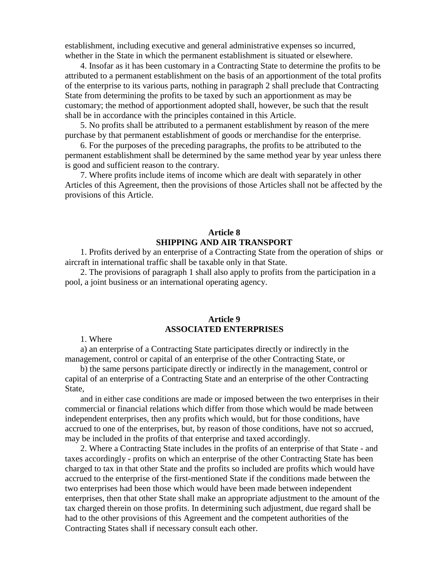establishment, including executive and general administrative expenses so incurred, whether in the State in which the permanent establishment is situated or elsewhere.

4. Insofar as it has been customary in a Contracting State to determine the profits to be attributed to a permanent establishment on the basis of an apportionment of the total profits of the enterprise to its various parts, nothing in paragraph 2 shall preclude that Contracting State from determining the profits to be taxed by such an apportionment as may be customary; the method of apportionment adopted shall, however, be such that the result shall be in accordance with the principles contained in this Article.

5. No profits shall be attributed to a permanent establishment by reason of the mere purchase by that permanent establishment of goods or merchandise for the enterprise.

6. For the purposes of the preceding paragraphs, the profits to be attributed to the permanent establishment shall be determined by the same method year by year unless there is good and sufficient reason to the contrary.

7. Where profits include items of income which are dealt with separately in other Articles of this Agreement, then the provisions of those Articles shall not be affected by the provisions of this Article.

## **Article 8 SHIPPING AND AIR TRANSPORT**

1. Profits derived by an enterprise of a Contracting State from the operation of ships or aircraft in international traffic shall be taxable only in that State.

2. The provisions of paragraph 1 shall also apply to profits from the participation in a pool, a joint business or an international operating agency.

#### **Article 9 ASSOCIATED ENTERPRISES**

1. Where

a) an enterprise of a Contracting State participates directly or indirectly in the management, control or capital of an enterprise of the other Contracting State, or

b) the same persons participate directly or indirectly in the management, control or capital of an enterprise of a Contracting State and an enterprise of the other Contracting State,

and in either case conditions are made or imposed between the two enterprises in their commercial or financial relations which differ from those which would be made between independent enterprises, then any profits which would, but for those conditions, have accrued to one of the enterprises, but, by reason of those conditions, have not so accrued, may be included in the profits of that enterprise and taxed accordingly.

2. Where a Contracting State includes in the profits of an enterprise of that State - and taxes accordingly - profits on which an enterprise of the other Contracting State has been charged to tax in that other State and the profits so included are profits which would have accrued to the enterprise of the first-mentioned State if the conditions made between the two enterprises had been those which would have been made between independent enterprises, then that other State shall make an appropriate adjustment to the amount of the tax charged therein on those profits. In determining such adjustment, due regard shall be had to the other provisions of this Agreement and the competent authorities of the Contracting States shall if necessary consult each other.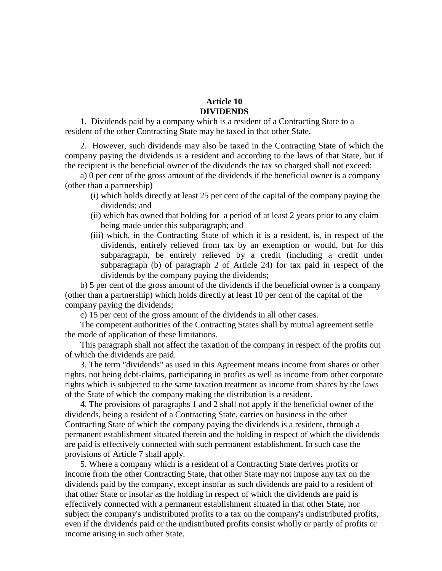# **Article 10 DIVIDENDS**

1. Dividends paid by a company which is a resident of a Contracting State to a resident of the other Contracting State may be taxed in that other State.

2. However, such dividends may also be taxed in the Contracting State of which the company paying the dividends is a resident and according to the laws of that State, but if the recipient is the beneficial owner of the dividends the tax so charged shall not exceed:

a) 0 per cent of the gross amount of the dividends if the beneficial owner is a company (other than a partnership)—

- (i) which holds directly at least 25 per cent of the capital of the company paying the dividends; and
- (ii) which has owned that holding for a period of at least 2 years prior to any claim being made under this subparagraph; and
- (iii) which, in the Contracting State of which it is a resident, is, in respect of the dividends, entirely relieved from tax by an exemption or would, but for this subparagraph, be entirely relieved by a credit (including a credit under subparagraph (b) of paragraph 2 of Article 24) for tax paid in respect of the dividends by the company paying the dividends;

b) 5 per cent of the gross amount of the dividends if the beneficial owner is a company (other than a partnership) which holds directly at least 10 per cent of the capital of the company paying the dividends;

c) 15 per cent of the gross amount of the dividends in all other cases.

The competent authorities of the Contracting States shall by mutual agreement settle the mode of application of these limitations.

This paragraph shall not affect the taxation of the company in respect of the profits out of which the dividends are paid.

3. The term "dividends" as used in this Agreement means income from shares or other rights, not being debt-claims, participating in profits as well as income from other corporate rights which is subjected to the same taxation treatment as income from shares by the laws of the State of which the company making the distribution is a resident.

4. The provisions of paragraphs 1 and 2 shall not apply if the beneficial owner of the dividends, being a resident of a Contracting State, carries on business in the other Contracting State of which the company paying the dividends is a resident, through a permanent establishment situated therein and the holding in respect of which the dividends are paid is effectively connected with such permanent establishment. In such case the provisions of Article 7 shall apply.

5. Where a company which is a resident of a Contracting State derives profits or income from the other Contracting State, that other State may not impose any tax on the dividends paid by the company, except insofar as such dividends are paid to a resident of that other State or insofar as the holding in respect of which the dividends are paid is effectively connected with a permanent establishment situated in that other State, nor subject the company's undistributed profits to a tax on the company's undistributed profits, even if the dividends paid or the undistributed profits consist wholly or partly of profits or income arising in such other State.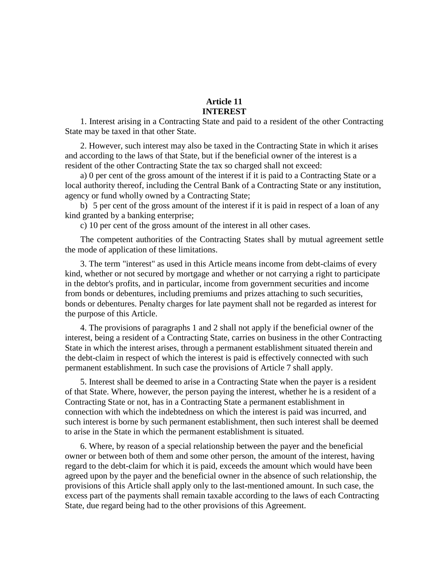# **Article 11 INTEREST**

1. Interest arising in a Contracting State and paid to a resident of the other Contracting State may be taxed in that other State.

2. However, such interest may also be taxed in the Contracting State in which it arises and according to the laws of that State, but if the beneficial owner of the interest is a resident of the other Contracting State the tax so charged shall not exceed:

a) 0 per cent of the gross amount of the interest if it is paid to a Contracting State or a local authority thereof, including the Central Bank of a Contracting State or any institution, agency or fund wholly owned by a Contracting State;

b) 5 per cent of the gross amount of the interest if it is paid in respect of a loan of any kind granted by a banking enterprise;

c) 10 per cent of the gross amount of the interest in all other cases.

The competent authorities of the Contracting States shall by mutual agreement settle the mode of application of these limitations.

3. The term "interest" as used in this Article means income from debt-claims of every kind, whether or not secured by mortgage and whether or not carrying a right to participate in the debtor's profits, and in particular, income from government securities and income from bonds or debentures, including premiums and prizes attaching to such securities, bonds or debentures. Penalty charges for late payment shall not be regarded as interest for the purpose of this Article.

4. The provisions of paragraphs 1 and 2 shall not apply if the beneficial owner of the interest, being a resident of a Contracting State, carries on business in the other Contracting State in which the interest arises, through a permanent establishment situated therein and the debt-claim in respect of which the interest is paid is effectively connected with such permanent establishment. In such case the provisions of Article 7 shall apply.

5. Interest shall be deemed to arise in a Contracting State when the payer is a resident of that State. Where, however, the person paying the interest, whether he is a resident of a Contracting State or not, has in a Contracting State a permanent establishment in connection with which the indebtedness on which the interest is paid was incurred, and such interest is borne by such permanent establishment, then such interest shall be deemed to arise in the State in which the permanent establishment is situated.

6. Where, by reason of a special relationship between the payer and the beneficial owner or between both of them and some other person, the amount of the interest, having regard to the debt-claim for which it is paid, exceeds the amount which would have been agreed upon by the payer and the beneficial owner in the absence of such relationship, the provisions of this Article shall apply only to the last-mentioned amount. In such case, the excess part of the payments shall remain taxable according to the laws of each Contracting State, due regard being had to the other provisions of this Agreement.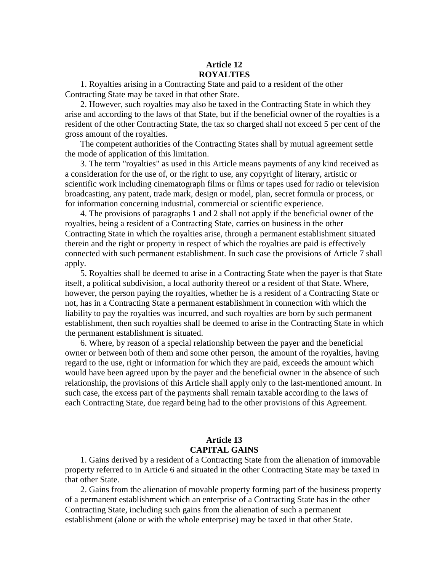### **Article 12 ROYALTIES**

1. Royalties arising in a Contracting State and paid to a resident of the other Contracting State may be taxed in that other State.

2. However, such royalties may also be taxed in the Contracting State in which they arise and according to the laws of that State, but if the beneficial owner of the royalties is a resident of the other Contracting State, the tax so charged shall not exceed 5 per cent of the gross amount of the royalties.

The competent authorities of the Contracting States shall by mutual agreement settle the mode of application of this limitation.

3. The term "royalties" as used in this Article means payments of any kind received as a consideration for the use of, or the right to use, any copyright of literary, artistic or scientific work including cinematograph films or films or tapes used for radio or television broadcasting, any patent, trade mark, design or model, plan, secret formula or process, or for information concerning industrial, commercial or scientific experience.

4. The provisions of paragraphs 1 and 2 shall not apply if the beneficial owner of the royalties, being a resident of a Contracting State, carries on business in the other Contracting State in which the royalties arise, through a permanent establishment situated therein and the right or property in respect of which the royalties are paid is effectively connected with such permanent establishment. In such case the provisions of Article 7 shall apply.

5. Royalties shall be deemed to arise in a Contracting State when the payer is that State itself, a political subdivision, a local authority thereof or a resident of that State. Where, however, the person paying the royalties, whether he is a resident of a Contracting State or not, has in a Contracting State a permanent establishment in connection with which the liability to pay the royalties was incurred, and such royalties are born by such permanent establishment, then such royalties shall be deemed to arise in the Contracting State in which the permanent establishment is situated.

6. Where, by reason of a special relationship between the payer and the beneficial owner or between both of them and some other person, the amount of the royalties, having regard to the use, right or information for which they are paid, exceeds the amount which would have been agreed upon by the payer and the beneficial owner in the absence of such relationship, the provisions of this Article shall apply only to the last-mentioned amount. In such case, the excess part of the payments shall remain taxable according to the laws of each Contracting State, due regard being had to the other provisions of this Agreement.

# **Article 13 CAPITAL GAINS**

1. Gains derived by a resident of a Contracting State from the alienation of immovable property referred to in Article 6 and situated in the other Contracting State may be taxed in that other State.

2. Gains from the alienation of movable property forming part of the business property of a permanent establishment which an enterprise of a Contracting State has in the other Contracting State, including such gains from the alienation of such a permanent establishment (alone or with the whole enterprise) may be taxed in that other State.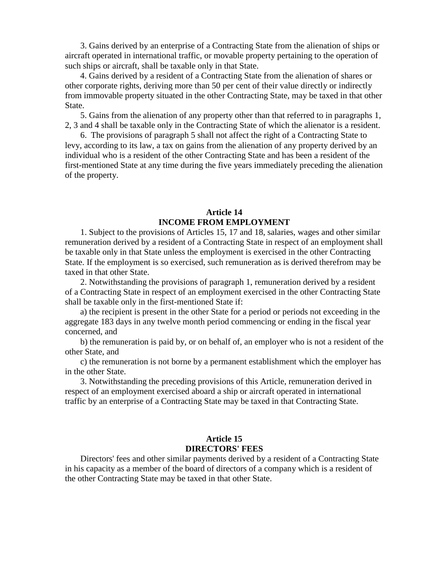3. Gains derived by an enterprise of a Contracting State from the alienation of ships or aircraft operated in international traffic, or movable property pertaining to the operation of such ships or aircraft, shall be taxable only in that State.

4. Gains derived by a resident of a Contracting State from the alienation of shares or other corporate rights, deriving more than 50 per cent of their value directly or indirectly from immovable property situated in the other Contracting State, may be taxed in that other State.

5. Gains from the alienation of any property other than that referred to in paragraphs 1, 2, 3 and 4 shall be taxable only in the Contracting State of which the alienator is a resident.

6. The provisions of paragraph 5 shall not affect the right of a Contracting State to levy, according to its law, a tax on gains from the alienation of any property derived by an individual who is a resident of the other Contracting State and has been a resident of the first-mentioned State at any time during the five years immediately preceding the alienation of the property.

#### **Article 14 INCOME FROM EMPLOYMENT**

1. Subject to the provisions of Articles 15, 17 and 18, salaries, wages and other similar remuneration derived by a resident of a Contracting State in respect of an employment shall be taxable only in that State unless the employment is exercised in the other Contracting State. If the employment is so exercised, such remuneration as is derived therefrom may be taxed in that other State.

2. Notwithstanding the provisions of paragraph 1, remuneration derived by a resident of a Contracting State in respect of an employment exercised in the other Contracting State shall be taxable only in the first-mentioned State if:

a) the recipient is present in the other State for a period or periods not exceeding in the aggregate 183 days in any twelve month period commencing or ending in the fiscal year concerned, and

b) the remuneration is paid by, or on behalf of, an employer who is not a resident of the other State, and

c) the remuneration is not borne by a permanent establishment which the employer has in the other State.

3. Notwithstanding the preceding provisions of this Article, remuneration derived in respect of an employment exercised aboard a ship or aircraft operated in international traffic by an enterprise of a Contracting State may be taxed in that Contracting State.

## **Article 15 DIRECTORS' FEES**

Directors' fees and other similar payments derived by a resident of a Contracting State in his capacity as a member of the board of directors of a company which is a resident of the other Contracting State may be taxed in that other State.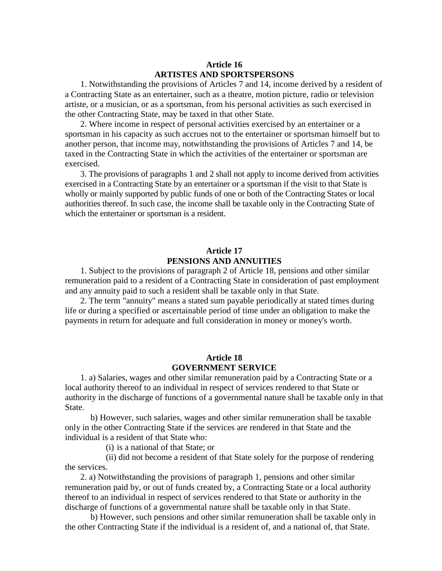## **Article 16 ARTISTES AND SPORTSPERSONS**

1. Notwithstanding the provisions of Articles 7 and 14, income derived by a resident of a Contracting State as an entertainer, such as a theatre, motion picture, radio or television artiste, or a musician, or as a sportsman, from his personal activities as such exercised in the other Contracting State, may be taxed in that other State.

2. Where income in respect of personal activities exercised by an entertainer or a sportsman in his capacity as such accrues not to the entertainer or sportsman himself but to another person, that income may, notwithstanding the provisions of Articles 7 and 14, be taxed in the Contracting State in which the activities of the entertainer or sportsman are exercised.

3. The provisions of paragraphs 1 and 2 shall not apply to income derived from activities exercised in a Contracting State by an entertainer or a sportsman if the visit to that State is wholly or mainly supported by public funds of one or both of the Contracting States or local authorities thereof. In such case, the income shall be taxable only in the Contracting State of which the entertainer or sportsman is a resident.

## **Article 17 PENSIONS AND ANNUITIES**

1. Subject to the provisions of paragraph 2 of Article 18, pensions and other similar remuneration paid to a resident of a Contracting State in consideration of past employment and any annuity paid to such a resident shall be taxable only in that State.

2. The term "annuity" means a stated sum payable periodically at stated times during life or during a specified or ascertainable period of time under an obligation to make the payments in return for adequate and full consideration in money or money's worth.

# **Article 18 GOVERNMENT SERVICE**

1. a) Salaries, wages and other similar remuneration paid by a Contracting State or a local authority thereof to an individual in respect of services rendered to that State or authority in the discharge of functions of a governmental nature shall be taxable only in that State.

b) However, such salaries, wages and other similar remuneration shall be taxable only in the other Contracting State if the services are rendered in that State and the individual is a resident of that State who:

(i) is a national of that State; or

(ii) did not become a resident of that State solely for the purpose of rendering the services.

2. a) Notwithstanding the provisions of paragraph 1, pensions and other similar remuneration paid by, or out of funds created by, a Contracting State or a local authority thereof to an individual in respect of services rendered to that State or authority in the discharge of functions of a governmental nature shall be taxable only in that State.

b) However, such pensions and other similar remuneration shall be taxable only in the other Contracting State if the individual is a resident of, and a national of, that State.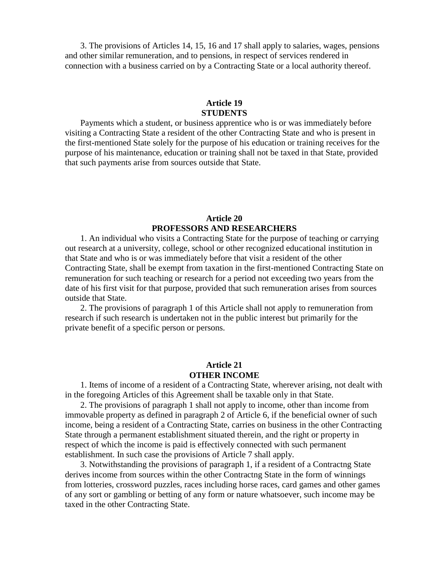3. The provisions of Articles 14, 15, 16 and 17 shall apply to salaries, wages, pensions and other similar remuneration, and to pensions, in respect of services rendered in connection with a business carried on by a Contracting State or a local authority thereof.

## **Article 19 STUDENTS**

Payments which a student, or business apprentice who is or was immediately before visiting a Contracting State a resident of the other Contracting State and who is present in the first-mentioned State solely for the purpose of his education or training receives for the purpose of his maintenance, education or training shall not be taxed in that State, provided that such payments arise from sources outside that State.

## **Article 20 PROFESSORS AND RESEARCHERS**

1. An individual who visits a Contracting State for the purpose of teaching or carrying out research at a university, college, school or other recognized educational institution in that State and who is or was immediately before that visit a resident of the other Contracting State, shall be exempt from taxation in the first-mentioned Contracting State on remuneration for such teaching or research for a period not exceeding two years from the date of his first visit for that purpose, provided that such remuneration arises from sources outside that State.

2. The provisions of paragraph 1 of this Article shall not apply to remuneration from research if such research is undertaken not in the public interest but primarily for the private benefit of a specific person or persons.

#### **Article 21 OTHER INCOME**

1. Items of income of a resident of a Contracting State, wherever arising, not dealt with in the foregoing Articles of this Agreement shall be taxable only in that State.

2. The provisions of paragraph 1 shall not apply to income, other than income from immovable property as defined in paragraph 2 of Article 6, if the beneficial owner of such income, being a resident of a Contracting State, carries on business in the other Contracting State through a permanent establishment situated therein, and the right or property in respect of which the income is paid is effectively connected with such permanent establishment. In such case the provisions of Article 7 shall apply.

3. Notwithstanding the provisions of paragraph 1, if a resident of a Contractng State derives income from sources within the other Contractng State in the form of winnings from lotteries, crossword puzzles, races including horse races, card games and other games of any sort or gambling or betting of any form or nature whatsoever, such income may be taxed in the other Contracting State.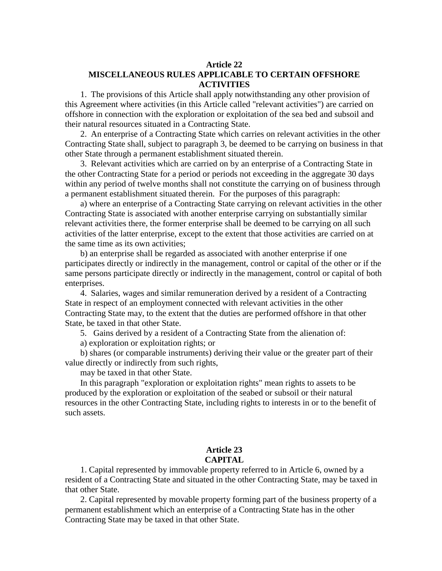## **Article 22 MISCELLANEOUS RULES APPLICABLE TO CERTAIN OFFSHORE ACTIVITIES**

1. The provisions of this Article shall apply notwithstanding any other provision of this Agreement where activities (in this Article called "relevant activities") are carried on offshore in connection with the exploration or exploitation of the sea bed and subsoil and their natural resources situated in a Contracting State.

2. An enterprise of a Contracting State which carries on relevant activities in the other Contracting State shall, subject to paragraph 3, be deemed to be carrying on business in that other State through a permanent establishment situated therein.

3. Relevant activities which are carried on by an enterprise of a Contracting State in the other Contracting State for a period or periods not exceeding in the aggregate 30 days within any period of twelve months shall not constitute the carrying on of business through a permanent establishment situated therein. For the purposes of this paragraph:

a) where an enterprise of a Contracting State carrying on relevant activities in the other Contracting State is associated with another enterprise carrying on substantially similar relevant activities there, the former enterprise shall be deemed to be carrying on all such activities of the latter enterprise, except to the extent that those activities are carried on at the same time as its own activities;

b) an enterprise shall be regarded as associated with another enterprise if one participates directly or indirectly in the management, control or capital of the other or if the same persons participate directly or indirectly in the management, control or capital of both enterprises.

4. Salaries, wages and similar remuneration derived by a resident of a Contracting State in respect of an employment connected with relevant activities in the other Contracting State may, to the extent that the duties are performed offshore in that other State, be taxed in that other State.

5. Gains derived by a resident of a Contracting State from the alienation of:

a) exploration or exploitation rights; or

b) shares (or comparable instruments) deriving their value or the greater part of their value directly or indirectly from such rights,

may be taxed in that other State.

In this paragraph "exploration or exploitation rights" mean rights to assets to be produced by the exploration or exploitation of the seabed or subsoil or their natural resources in the other Contracting State, including rights to interests in or to the benefit of such assets.

#### **Article 23 CAPITAL**

1. Capital represented by immovable property referred to in Article 6, owned by a resident of a Contracting State and situated in the other Contracting State, may be taxed in that other State.

2. Capital represented by movable property forming part of the business property of a permanent establishment which an enterprise of a Contracting State has in the other Contracting State may be taxed in that other State.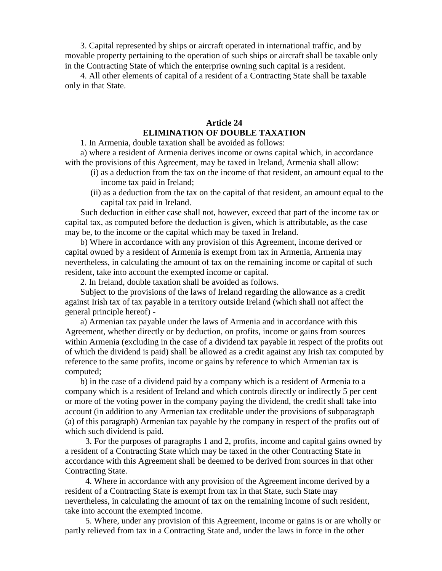3. Capital represented by ships or aircraft operated in international traffic, and by movable property pertaining to the operation of such ships or aircraft shall be taxable only in the Contracting State of which the enterprise owning such capital is a resident.

4. All other elements of capital of a resident of a Contracting State shall be taxable only in that State.

# **Article 24 ELIMINATION OF DOUBLE TAXATION**

1. In Armenia, double taxation shall be avoided as follows:

a) where a resident of Armenia derives income or owns capital which, in accordance with the provisions of this Agreement, may be taxed in Ireland, Armenia shall allow:

- (i) as a deduction from the tax on the income of that resident, an amount equal to the income tax paid in Ireland;
- (ii) as a deduction from the tax on the capital of that resident, an amount equal to the capital tax paid in Ireland.

Such deduction in either case shall not, however, exceed that part of the income tax or capital tax, as computed before the deduction is given, which is attributable, as the case may be, to the income or the capital which may be taxed in Ireland.

b) Where in accordance with any provision of this Agreement, income derived or capital owned by a resident of Armenia is exempt from tax in Armenia, Armenia may nevertheless, in calculating the amount of tax on the remaining income or capital of such resident, take into account the exempted income or capital.

2. In Ireland, double taxation shall be avoided as follows.

Subject to the provisions of the laws of Ireland regarding the allowance as a credit against Irish tax of tax payable in a territory outside Ireland (which shall not affect the general principle hereof) -

a) Armenian tax payable under the laws of Armenia and in accordance with this Agreement, whether directly or by deduction, on profits, income or gains from sources within Armenia (excluding in the case of a dividend tax payable in respect of the profits out of which the dividend is paid) shall be allowed as a credit against any Irish tax computed by reference to the same profits, income or gains by reference to which Armenian tax is computed;

b) in the case of a dividend paid by a company which is a resident of Armenia to a company which is a resident of Ireland and which controls directly or indirectly 5 per cent or more of the voting power in the company paying the dividend, the credit shall take into account (in addition to any Armenian tax creditable under the provisions of subparagraph (a) of this paragraph) Armenian tax payable by the company in respect of the profits out of which such dividend is paid.

3. For the purposes of paragraphs 1 and 2, profits, income and capital gains owned by a resident of a Contracting State which may be taxed in the other Contracting State in accordance with this Agreement shall be deemed to be derived from sources in that other Contracting State.

4. Where in accordance with any provision of the Agreement income derived by a resident of a Contracting State is exempt from tax in that State, such State may nevertheless, in calculating the amount of tax on the remaining income of such resident, take into account the exempted income.

5. Where, under any provision of this Agreement, income or gains is or are wholly or partly relieved from tax in a Contracting State and, under the laws in force in the other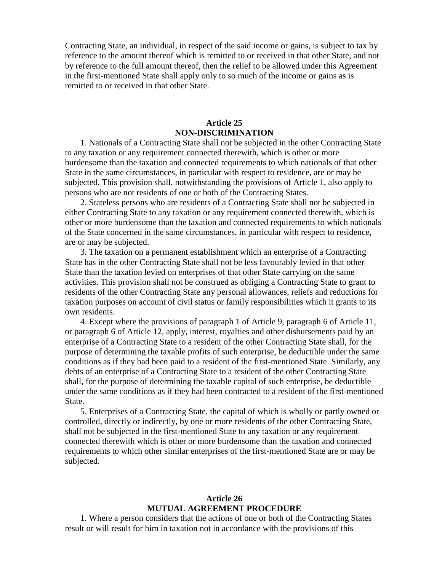Contracting State, an individual, in respect of the said income or gains, is subject to tax by reference to the amount thereof which is remitted to or received in that other State, and not by reference to the full amount thereof, then the relief to be allowed under this Agreement in the first-mentioned State shall apply only to so much of the income or gains as is remitted to or received in that other State.

## **Article 25 NON-DISCRIMINATION**

1. Nationals of a Contracting State shall not be subjected in the other Contracting State to any taxation or any requirement connected therewith, which is other or more burdensome than the taxation and connected requirements to which nationals of that other State in the same circumstances, in particular with respect to residence, are or may be subjected. This provision shall, notwithstanding the provisions of Article 1, also apply to persons who are not residents of one or both of the Contracting States.

2. Stateless persons who are residents of a Contracting State shall not be subjected in either Contracting State to any taxation or any requirement connected therewith, which is other or more burdensome than the taxation and connected requirements to which nationals of the State concerned in the same circumstances, in particular with respect to residence, are or may be subjected.

3. The taxation on a permanent establishment which an enterprise of a Contracting State has in the other Contracting State shall not be less favourably levied in that other State than the taxation levied on enterprises of that other State carrying on the same activities. This provision shall not be construed as obliging a Contracting State to grant to residents of the other Contracting State any personal allowances, reliefs and reductions for taxation purposes on account of civil status or family responsibilities which it grants to its own residents.

4. Except where the provisions of paragraph 1 of Article 9, paragraph 6 of Article 11, or paragraph 6 of Article 12, apply, interest, royalties and other disbursements paid by an enterprise of a Contracting State to a resident of the other Contracting State shall, for the purpose of determining the taxable profits of such enterprise, be deductible under the same conditions as if they had been paid to a resident of the first-mentioned State. Similarly, any debts of an enterprise of a Contracting State to a resident of the other Contracting State shall, for the purpose of determining the taxable capital of such enterprise, be deductible under the same conditions as if they had been contracted to a resident of the first-mentioned State.

5. Enterprises of a Contracting State, the capital of which is wholly or partly owned or controlled, directly or indirectly, by one or more residents of the other Contracting State, shall not be subjected in the first-mentioned State to any taxation or any requirement connected therewith which is other or more burdensome than the taxation and connected requirements to which other similar enterprises of the first-mentioned State are or may be subjected.

## **Article 26 MUTUAL AGREEMENT PROCEDURE**

1. Where a person considers that the actions of one or both of the Contracting States result or will result for him in taxation not in accordance with the provisions of this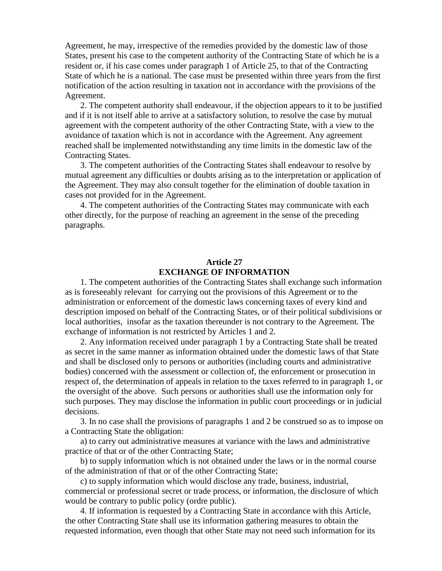Agreement, he may, irrespective of the remedies provided by the domestic law of those States, present his case to the competent authority of the Contracting State of which he is a resident or, if his case comes under paragraph 1 of Article 25, to that of the Contracting State of which he is a national. The case must be presented within three years from the first notification of the action resulting in taxation not in accordance with the provisions of the Agreement.

2. The competent authority shall endeavour, if the objection appears to it to be justified and if it is not itself able to arrive at a satisfactory solution, to resolve the case by mutual agreement with the competent authority of the other Contracting State, with a view to the avoidance of taxation which is not in accordance with the Agreement. Any agreement reached shall be implemented notwithstanding any time limits in the domestic law of the Contracting States.

3. The competent authorities of the Contracting States shall endeavour to resolve by mutual agreement any difficulties or doubts arising as to the interpretation or application of the Agreement. They may also consult together for the elimination of double taxation in cases not provided for in the Agreement.

4. The competent authorities of the Contracting States may communicate with each other directly, for the purpose of reaching an agreement in the sense of the preceding paragraphs.

# **Article 27 EXCHANGE OF INFORMATION**

1. The competent authorities of the Contracting States shall exchange such information as is foreseeably relevant for carrying out the provisions of this Agreement or to the administration or enforcement of the domestic laws concerning taxes of every kind and description imposed on behalf of the Contracting States, or of their political subdivisions or local authorities, insofar as the taxation thereunder is not contrary to the Agreement. The exchange of information is not restricted by Articles 1 and 2.

2. Any information received under paragraph 1 by a Contracting State shall be treated as secret in the same manner as information obtained under the domestic laws of that State and shall be disclosed only to persons or authorities (including courts and administrative bodies) concerned with the assessment or collection of, the enforcement or prosecution in respect of, the determination of appeals in relation to the taxes referred to in paragraph 1, or the oversight of the above. Such persons or authorities shall use the information only for such purposes. They may disclose the information in public court proceedings or in judicial decisions.

3. In no case shall the provisions of paragraphs 1 and 2 be construed so as to impose on a Contracting State the obligation:

a) to carry out administrative measures at variance with the laws and administrative practice of that or of the other Contracting State;

b) to supply information which is not obtained under the laws or in the normal course of the administration of that or of the other Contracting State;

c) to supply information which would disclose any trade, business, industrial, commercial or professional secret or trade process, or information, the disclosure of which would be contrary to public policy (ordre public).

4. If information is requested by a Contracting State in accordance with this Article, the other Contracting State shall use its information gathering measures to obtain the requested information, even though that other State may not need such information for its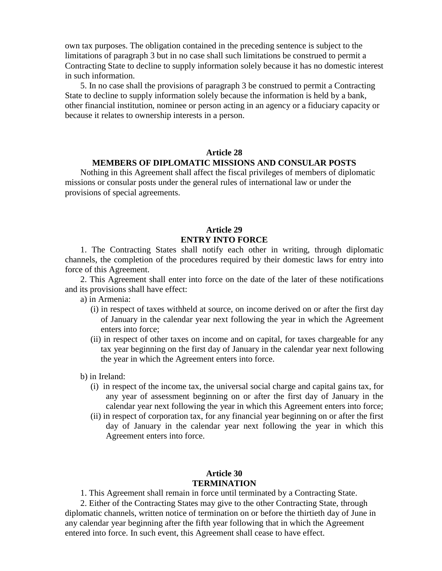own tax purposes. The obligation contained in the preceding sentence is subject to the limitations of paragraph 3 but in no case shall such limitations be construed to permit a Contracting State to decline to supply information solely because it has no domestic interest in such information.

5. In no case shall the provisions of paragraph 3 be construed to permit a Contracting State to decline to supply information solely because the information is held by a bank, other financial institution, nominee or person acting in an agency or a fiduciary capacity or because it relates to ownership interests in a person.

#### **Article 28**

#### **MEMBERS OF DIPLOMATIC MISSIONS AND CONSULAR POSTS**

Nothing in this Agreement shall affect the fiscal privileges of members of diplomatic missions or consular posts under the general rules of international law or under the provisions of special agreements.

# **Article 29 ENTRY INTO FORCE**

1. The Contracting States shall notify each other in writing, through diplomatic channels, the completion of the procedures required by their domestic laws for entry into force of this Agreement.

2. This Agreement shall enter into force on the date of the later of these notifications and its provisions shall have effect:

a) in Armenia:

- (i) in respect of taxes withheld at source, on income derived on or after the first day of January in the calendar year next following the year in which the Agreement enters into force;
- (ii) in respect of other taxes on income and on capital, for taxes chargeable for any tax year beginning on the first day of January in the calendar year next following the year in which the Agreement enters into force.

b) in Ireland:

- (i) in respect of the income tax, the universal social charge and capital gains tax, for any year of assessment beginning on or after the first day of January in the calendar year next following the year in which this Agreement enters into force;
- (ii) in respect of corporation tax, for any financial year beginning on or after the first day of January in the calendar year next following the year in which this Agreement enters into force.

#### **Article 30 TERMINATION**

1. This Agreement shall remain in force until terminated by a Contracting State.

2. Either of the Contracting States may give to the other Contracting State, through diplomatic channels, written notice of termination on or before the thirtieth day of June in any calendar year beginning after the fifth year following that in which the Agreement entered into force. In such event, this Agreement shall cease to have effect.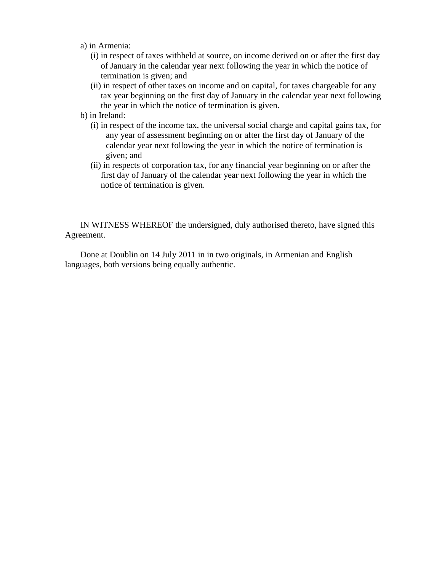- a) in Armenia:
	- (i) in respect of taxes withheld at source, on income derived on or after the first day of January in the calendar year next following the year in which the notice of termination is given; and
	- (ii) in respect of other taxes on income and on capital, for taxes chargeable for any tax year beginning on the first day of January in the calendar year next following the year in which the notice of termination is given.
- b) in Ireland:
	- (i) in respect of the income tax, the universal social charge and capital gains tax, for any year of assessment beginning on or after the first day of January of the calendar year next following the year in which the notice of termination is given; and
	- (ii) in respects of corporation tax, for any financial year beginning on or after the first day of January of the calendar year next following the year in which the notice of termination is given.

IN WITNESS WHEREOF the undersigned, duly authorised thereto, have signed this Agreement.

Done at Doublin on 14 July 2011 in in two originals, in Armenian and English languages, both versions being equally authentic.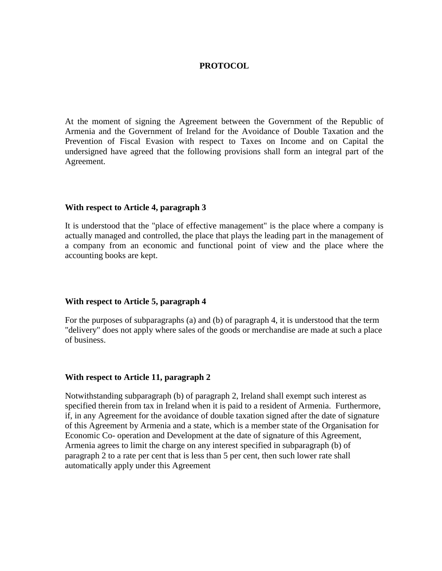#### **PROTOCOL**

At the moment of signing the Agreement between the Government of the Republic of Armenia and the Government of Ireland for the Avoidance of Double Taxation and the Prevention of Fiscal Evasion with respect to Taxes on Income and on Capital the undersigned have agreed that the following provisions shall form an integral part of the Agreement.

#### **With respect to Article 4, paragraph 3**

It is understood that the "place of effective management" is the place where a company is actually managed and controlled, the place that plays the leading part in the management of a company from an economic and functional point of view and the place where the accounting books are kept.

#### **With respect to Article 5, paragraph 4**

For the purposes of subparagraphs (a) and (b) of paragraph 4, it is understood that the term "delivery" does not apply where sales of the goods or merchandise are made at such a place of business.

#### **With respect to Article 11, paragraph 2**

Notwithstanding subparagraph (b) of paragraph 2, Ireland shall exempt such interest as specified therein from tax in Ireland when it is paid to a resident of Armenia. Furthermore, if, in any Agreement for the avoidance of double taxation signed after the date of signature of this Agreement by Armenia and a state, which is a member state of the Organisation for Economic Co- operation and Development at the date of signature of this Agreement, Armenia agrees to limit the charge on any interest specified in subparagraph (b) of paragraph 2 to a rate per cent that is less than 5 per cent, then such lower rate shall automatically apply under this Agreement